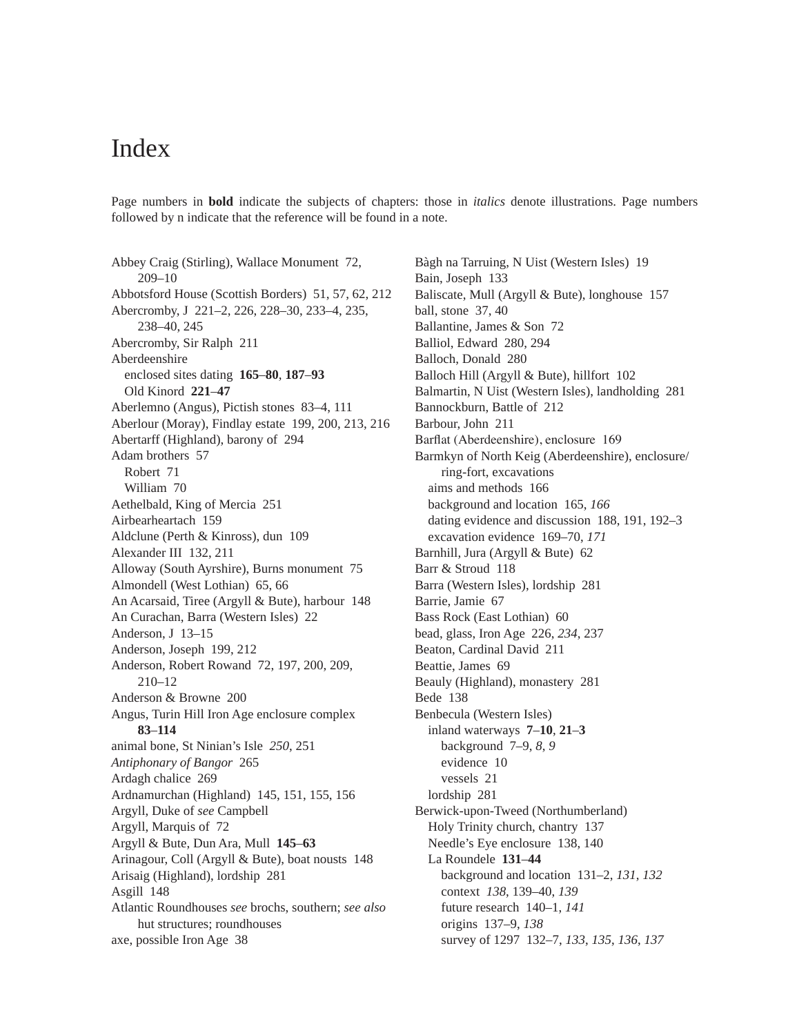## Index

Page numbers in **bold** indicate the subjects of chapters: those in *italics* denote illustrations. Page numbers followed by n indicate that the reference will be found in a note.

Abbey Craig (Stirling), Wallace Monument 72, 209–10 Abbotsford House (Scottish Borders) 51, 57, 62, 212 Abercromby, J 221–2, 226, 228–30, 233–4, 235, 238–40, 245 Abercromby, Sir Ralph 211 Aberdeenshire enclosed sites dating **165**–**80**, **187**–**93** Old Kinord **221**–**47** Aberlemno (Angus), Pictish stones 83–4, 111 Aberlour (Moray), Findlay estate 199, 200, 213, 216 Abertarff (Highland), barony of 294 Adam brothers 57 Robert 71 William 70 Aethelbald, King of Mercia 251 Airbearheartach 159 Aldclune (Perth & Kinross), dun 109 Alexander III 132, 211 Alloway (South Ayrshire), Burns monument 75 Almondell (West Lothian) 65, 66 An Acarsaid, Tiree (Argyll & Bute), harbour 148 An Curachan, Barra (Western Isles) 22 Anderson, J 13–15 Anderson, Joseph 199, 212 Anderson, Robert Rowand 72, 197, 200, 209, 210–12 Anderson & Browne 200 Angus, Turin Hill Iron Age enclosure complex **83**–**114** animal bone, St Ninian's Isle *250*, 251 *Antiphonary of Bangor* 265 Ardagh chalice 269 Ardnamurchan (Highland) 145, 151, 155, 156 Argyll, Duke of *see* Campbell Argyll, Marquis of 72 Argyll & Bute, Dun Ara, Mull **145**–**63** Arinagour, Coll (Argyll & Bute), boat nousts 148 Arisaig (Highland), lordship 281 Asgill 148 Atlantic Roundhouses *see* brochs, southern; *see also* hut structures; roundhouses axe, possible Iron Age 38

Bàgh na Tarruing, N Uist (Western Isles) 19 Bain, Joseph 133 Baliscate, Mull (Argyll & Bute), longhouse 157 ball, stone 37, 40 Ballantine, James & Son 72 Balliol, Edward 280, 294 Balloch, Donald 280 Balloch Hill (Argyll & Bute), hillfort 102 Balmartin, N Uist (Western Isles), landholding 281 Bannockburn, Battle of 212 Barbour, John 211 Barflat (Aberdeenshire), enclosure 169 Barmkyn of North Keig (Aberdeenshire), enclosure/ ring-fort, excavations aims and methods 166 background and location 165, *166* dating evidence and discussion 188, 191, 192–3 excavation evidence 169–70, *171* Barnhill, Jura (Argyll & Bute) 62 Barr & Stroud 118 Barra (Western Isles), lordship 281 Barrie, Jamie 67 Bass Rock (East Lothian) 60 bead, glass, Iron Age 226, *234*, 237 Beaton, Cardinal David 211 Beattie, James 69 Beauly (Highland), monastery 281 Bede 138 Benbecula (Western Isles) inland waterways **7**–**10**, **21**–**3** background 7–9, *8*, *9* evidence 10 vessels 21 lordship 281 Berwick-upon-Tweed (Northumberland) Holy Trinity church, chantry 137 Needle's Eye enclosure 138, 140 La Roundele **131**–**44** background and location 131–2, *131*, *132* context *138*, 139–40, *139* future research 140–1, *141* origins 137–9, *138* survey of 1297 132–7, *133*, *135*, *136*, *137*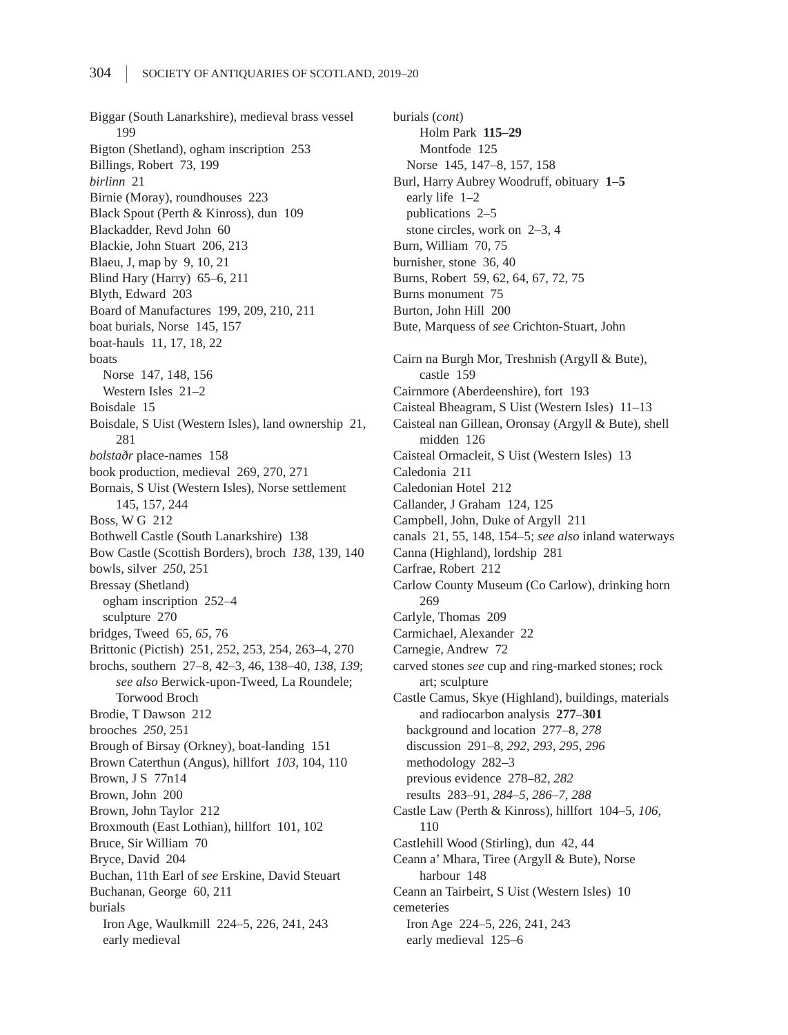Biggar (South Lanarkshire), medieval brass vessel 199 Bigton (Shetland), ogham inscription 253 Billings, Robert 73, 199 *birlinn* 21 Birnie (Moray), roundhouses 223 Black Spout (Perth & Kinross), dun 109 Blackadder, Revd John 60 Blackie, John Stuart 206, 213 Blaeu, J, map by 9, 10, 21 Blind Hary (Harry) 65–6, 211 Blyth, Edward 203 Board of Manufactures 199, 209, 210, 211 boat burials, Norse 145, 157 boat-hauls 11, 17, 18, 22 boats Norse 147, 148, 156 Western Isles 21–2 Boisdale 15 Boisdale, S Uist (Western Isles), land ownership 21, 281 *bolstaðr* place-names 158 book production, medieval 269, 270, 271 Bornais, S Uist (Western Isles), Norse settlement 145, 157, 244 Boss, W G 212 Bothwell Castle (South Lanarkshire) 138 Bow Castle (Scottish Borders), broch *138*, 139, 140 bowls, silver *250*, 251 Bressay (Shetland) ogham inscription 252–4 sculpture 270 bridges, Tweed 65, *65*, 76 Brittonic (Pictish) 251, 252, 253, 254, 263–4, 270 brochs, southern 27–8, 42–3, 46, 138–40, *138*, *139*; *see also* Berwick-upon-Tweed, La Roundele; Torwood Broch Brodie, T Dawson 212 brooches *250*, 251 Brough of Birsay (Orkney), boat-landing 151 Brown Caterthun (Angus), hillfort *103*, 104, 110 Brown, J S 77n14 Brown, John 200 Brown, John Taylor 212 Broxmouth (East Lothian), hillfort 101, 102 Bruce, Sir William 70 Bryce, David 204 Buchan, 11th Earl of *see* Erskine, David Steuart Buchanan, George 60, 211 burials Iron Age, Waulkmill 224–5, 226, 241, 243 early medieval

burials (*cont*) Holm Park **115**–**29** Montfode 125 Norse 145, 147–8, 157, 158 Burl, Harry Aubrey Woodruff, obituary **1**–**5** early life 1–2 publications 2–5 stone circles, work on 2–3, 4 Burn, William 70, 75 burnisher, stone 36, 40 Burns, Robert 59, 62, 64, 67, 72, 75 Burns monument 75 Burton, John Hill 200 Bute, Marquess of *see* Crichton-Stuart, John Cairn na Burgh Mor, Treshnish (Argyll & Bute), castle 159 Cairnmore (Aberdeenshire), fort 193 Caisteal Bheagram, S Uist (Western Isles) 11–13 Caisteal nan Gillean, Oronsay (Argyll & Bute), shell midden 126 Caisteal Ormacleit, S Uist (Western Isles) 13 Caledonia 211 Caledonian Hotel 212 Callander, J Graham 124, 125 Campbell, John, Duke of Argyll 211 canals 21, 55, 148, 154–5; *see also* inland waterways Canna (Highland), lordship 281 Carfrae, Robert 212 Carlow County Museum (Co Carlow), drinking horn 269 Carlyle, Thomas 209 Carmichael, Alexander 22 Carnegie, Andrew 72 carved stones *see* cup and ring-marked stones; rock art; sculpture Castle Camus, Skye (Highland), buildings, materials and radiocarbon analysis **277**–**301** background and location 277–8, *278* discussion 291–8, *292*, *293*, *295*, *296* methodology 282–3 previous evidence 278–82, *282* results 283–91, *284–5*, *286–7*, *288* Castle Law (Perth & Kinross), hillfort 104–5, *106*, 110 Castlehill Wood (Stirling), dun 42, 44 Ceann a' Mhara, Tiree (Argyll & Bute), Norse harbour 148 Ceann an Tairbeirt, S Uist (Western Isles) 10 cemeteries Iron Age 224–5, 226, 241, 243 early medieval 125–6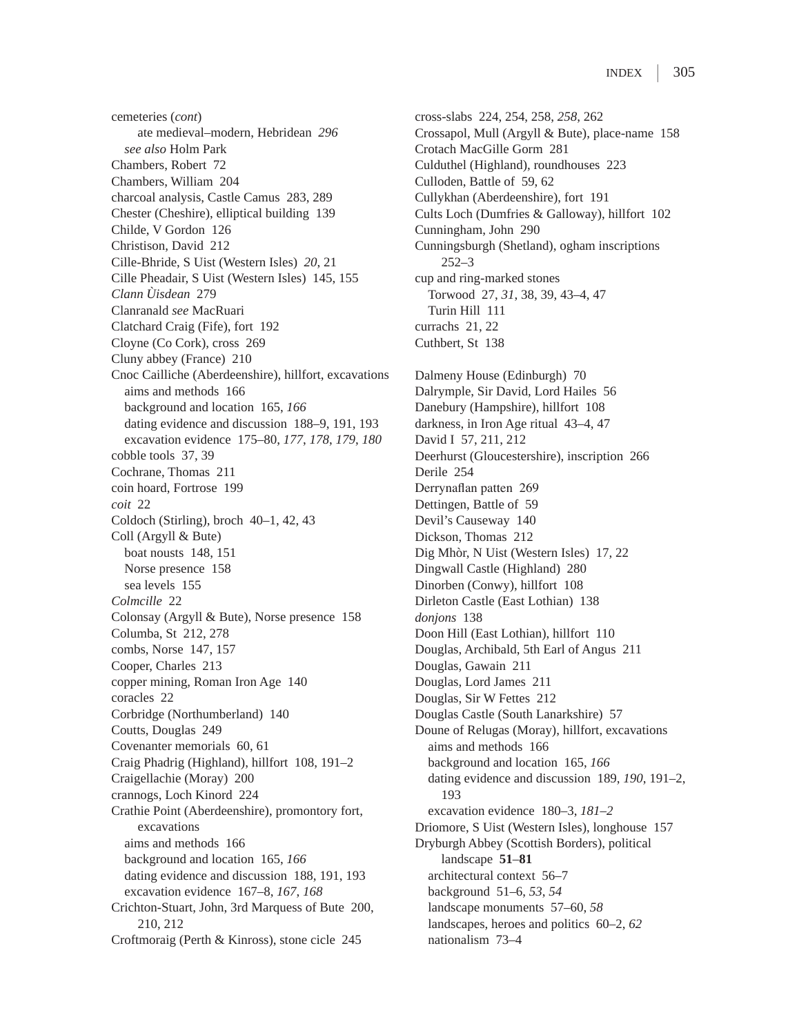cemeteries (*cont*) ate medieval–modern, Hebridean *296 see also* Holm Park Chambers, Robert 72 Chambers, William 204 charcoal analysis, Castle Camus 283, 289 Chester (Cheshire), elliptical building 139 Childe, V Gordon 126 Christison, David 212 Cille-Bhride, S Uist (Western Isles) *20*, 21 Cille Pheadair, S Uist (Western Isles) 145, 155 *Clann Ùisdean* 279 Clanranald *see* MacRuari Clatchard Craig (Fife), fort 192 Cloyne (Co Cork), cross 269 Cluny abbey (France) 210 Cnoc Cailliche (Aberdeenshire), hillfort, excavations aims and methods 166 background and location 165, *166* dating evidence and discussion 188–9, 191, 193 excavation evidence 175–80, *177*, *178*, *179*, *180* cobble tools 37, 39 Cochrane, Thomas 211 coin hoard, Fortrose 199 *coit* 22 Coldoch (Stirling), broch 40–1, 42, 43 Coll (Argyll & Bute) boat nousts 148, 151 Norse presence 158 sea levels 155 *Colmcille* 22 Colonsay (Argyll & Bute), Norse presence 158 Columba, St 212, 278 combs, Norse 147, 157 Cooper, Charles 213 copper mining, Roman Iron Age 140 coracles 22 Corbridge (Northumberland) 140 Coutts, Douglas 249 Covenanter memorials 60, 61 Craig Phadrig (Highland), hillfort 108, 191–2 Craigellachie (Moray) 200 crannogs, Loch Kinord 224 Crathie Point (Aberdeenshire), promontory fort, excavations aims and methods 166 background and location 165, *166* dating evidence and discussion 188, 191, 193 excavation evidence 167–8, *167*, *168* Crichton-Stuart, John, 3rd Marquess of Bute 200, 210, 212 Croftmoraig (Perth & Kinross), stone cicle 245

cross-slabs 224, 254, 258, *258*, 262 Crossapol, Mull (Argyll & Bute), place-name 158 Crotach MacGille Gorm 281 Culduthel (Highland), roundhouses 223 Culloden, Battle of 59, 62 Cullykhan (Aberdeenshire), fort 191 Cults Loch (Dumfries & Galloway), hillfort 102 Cunningham, John 290 Cunningsburgh (Shetland), ogham inscriptions 252–3 cup and ring-marked stones Torwood 27, *31*, 38, 39, 43–4, 47 Turin Hill 111 currachs 21, 22 Cuthbert, St 138 Dalmeny House (Edinburgh) 70 Dalrymple, Sir David, Lord Hailes 56 Danebury (Hampshire), hillfort 108 darkness, in Iron Age ritual 43–4, 47 David I 57, 211, 212 Deerhurst (Gloucestershire), inscription 266 Derile 254 Derrynaflan patten 269 Dettingen, Battle of 59 Devil's Causeway 140 Dickson, Thomas 212 Dig Mhòr, N Uist (Western Isles) 17, 22 Dingwall Castle (Highland) 280 Dinorben (Conwy), hillfort 108 Dirleton Castle (East Lothian) 138 *donjons* 138 Doon Hill (East Lothian), hillfort 110 Douglas, Archibald, 5th Earl of Angus 211 Douglas, Gawain 211 Douglas, Lord James 211 Douglas, Sir W Fettes 212 Douglas Castle (South Lanarkshire) 57 Doune of Relugas (Moray), hillfort, excavations aims and methods 166 background and location 165, *166* dating evidence and discussion 189, *190*, 191–2, 193 excavation evidence 180–3, *181–2* Driomore, S Uist (Western Isles), longhouse 157 Dryburgh Abbey (Scottish Borders), political landscape **51**–**81** architectural context 56–7 background 51–6, *53*, *54* landscape monuments 57–60, *58* landscapes, heroes and politics 60–2, *62* nationalism 73–4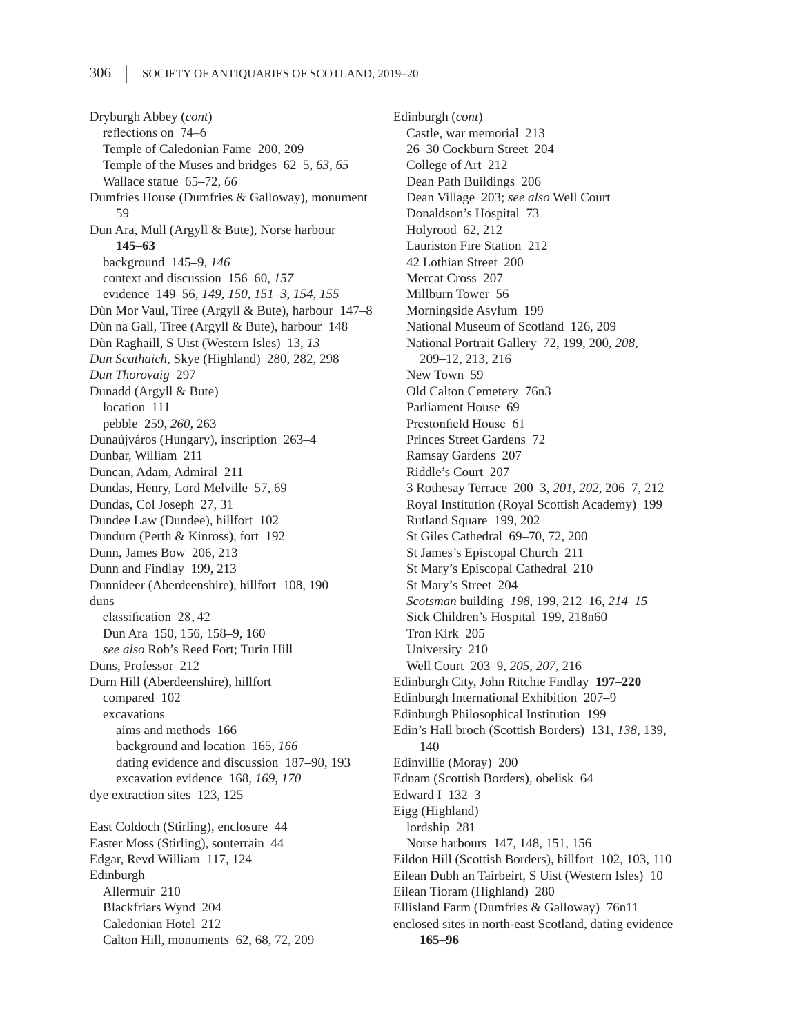Dryburgh Abbey (*cont*) reflections on 74–6 Temple of Caledonian Fame 200, 209 Temple of the Muses and bridges 62–5, *63*, *65* Wallace statue 65–72, *66* Dumfries House (Dumfries & Galloway), monument 59 Dun Ara, Mull (Argyll & Bute), Norse harbour **145**–**63** background 145–9, *146* context and discussion 156–60, *157* evidence 149–56, *149*, *150*, *151–3*, *154*, *155* Dùn Mor Vaul, Tiree (Argyll & Bute), harbour 147–8 Dùn na Gall, Tiree (Argyll & Bute), harbour 148 Dùn Raghaill, S Uist (Western Isles) 13, *13 Dun Scathaich*, Skye (Highland) 280, 282, 298 *Dun Thorovaig* 297 Dunadd (Argyll & Bute) location 111 pebble 259, *260*, 263 Dunaújváros (Hungary), inscription 263–4 Dunbar, William 211 Duncan, Adam, Admiral 211 Dundas, Henry, Lord Melville 57, 69 Dundas, Col Joseph 27, 31 Dundee Law (Dundee), hillfort 102 Dundurn (Perth & Kinross), fort 192 Dunn, James Bow 206, 213 Dunn and Findlay 199, 213 Dunnideer (Aberdeenshire), hillfort 108, 190 duns classification 28, 42 Dun Ara 150, 156, 158–9, 160 *see also* Rob's Reed Fort; Turin Hill Duns, Professor 212 Durn Hill (Aberdeenshire), hillfort compared 102 excavations aims and methods 166 background and location 165, *166* dating evidence and discussion 187–90, 193 excavation evidence 168, *169*, *170* dye extraction sites 123, 125 East Coldoch (Stirling), enclosure 44 Easter Moss (Stirling), souterrain 44 Edgar, Revd William 117, 124 Edinburgh Allermuir 210 Blackfriars Wynd 204 Caledonian Hotel 212 Calton Hill, monuments 62, 68, 72, 209

Edinburgh (*cont*) Castle, war memorial 213 26–30 Cockburn Street 204 College of Art 212 Dean Path Buildings 206 Dean Village 203; *see also* Well Court Donaldson's Hospital 73 Holyrood 62, 212 Lauriston Fire Station 212 42 Lothian Street 200 Mercat Cross 207 Millburn Tower 56 Morningside Asylum 199 National Museum of Scotland 126, 209 National Portrait Gallery 72, 199, 200, *208*, 209–12, 213, 216 New Town 59 Old Calton Cemetery 76n3 Parliament House 69 Prestonfield House 61 Princes Street Gardens 72 Ramsay Gardens 207 Riddle's Court 207 3 Rothesay Terrace 200–3, *201*, *202*, 206–7, 212 Royal Institution (Royal Scottish Academy) 199 Rutland Square 199, 202 St Giles Cathedral 69–70, 72, 200 St James's Episcopal Church 211 St Mary's Episcopal Cathedral 210 St Mary's Street 204 *Scotsman* building *198*, 199, 212–16, *214–15* Sick Children's Hospital 199, 218n60 Tron Kirk 205 University 210 Well Court 203–9, *205*, *207*, 216 Edinburgh City, John Ritchie Findlay **197**–**220** Edinburgh International Exhibition 207–9 Edinburgh Philosophical Institution 199 Edin's Hall broch (Scottish Borders) 131, *138*, 139, 140 Edinvillie (Moray) 200 Ednam (Scottish Borders), obelisk 64 Edward I 132–3 Eigg (Highland) lordship 281 Norse harbours 147, 148, 151, 156 Eildon Hill (Scottish Borders), hillfort 102, 103, 110 Eilean Dubh an Tairbeirt, S Uist (Western Isles) 10 Eilean Tioram (Highland) 280 Ellisland Farm (Dumfries & Galloway) 76n11 enclosed sites in north-east Scotland, dating evidence **165**–**96**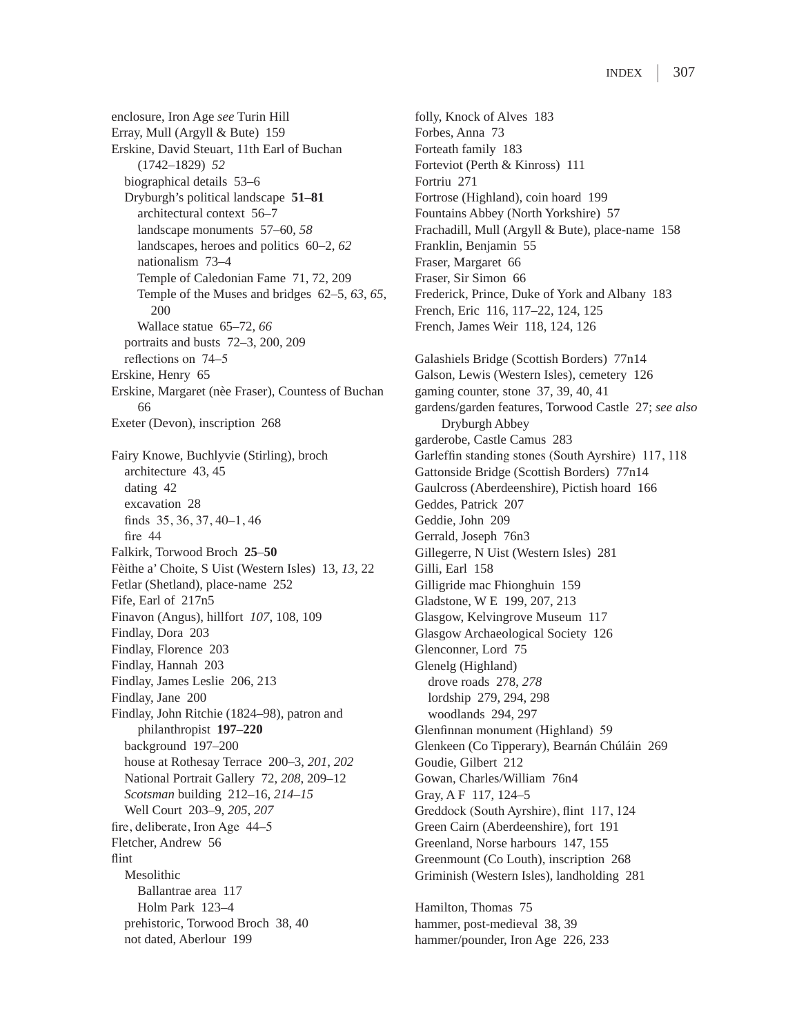enclosure, Iron Age *see* Turin Hill Erray, Mull (Argyll & Bute) 159 Erskine, David Steuart, 11th Earl of Buchan (1742–1829) *52* biographical details 53–6 Dryburgh's political landscape **51**–**81** architectural context 56–7 landscape monuments 57–60, *58* landscapes, heroes and politics 60–2, *62* nationalism 73–4 Temple of Caledonian Fame 71, 72, 209 Temple of the Muses and bridges 62–5, *63*, *65*, 200 Wallace statue 65–72, *66* portraits and busts 72–3, 200, 209 reflections on 74–5 Erskine, Henry 65 Erskine, Margaret (nèe Fraser), Countess of Buchan 66 Exeter (Devon), inscription 268 Fairy Knowe, Buchlyvie (Stirling), broch architecture 43, 45 dating 42 excavation 28 finds 35, 36, 37, 40–1, 46 fire 44 Falkirk, Torwood Broch **25**–**50** Fèithe a' Choite, S Uist (Western Isles) 13, *13*, 22 Fetlar (Shetland), place-name 252 Fife, Earl of 217n5 Finavon (Angus), hillfort *107*, 108, 109 Findlay, Dora 203 Findlay, Florence 203 Findlay, Hannah 203 Findlay, James Leslie 206, 213 Findlay, Jane 200 Findlay, John Ritchie (1824–98), patron and philanthropist **197**–**220** background 197–200 house at Rothesay Terrace 200–3, *201*, *202* National Portrait Gallery 72, *208*, 209–12 *Scotsman* building 212–16, *214–15* Well Court 203–9, *205*, *207* fire, deliberate, Iron Age 44–5 Fletcher, Andrew 56 flint Mesolithic Ballantrae area 117 Holm Park 123–4 prehistoric, Torwood Broch 38, 40 not dated, Aberlour 199

folly, Knock of Alves 183 Forbes, Anna 73 Forteath family 183 Forteviot (Perth & Kinross) 111 Fortriu 271 Fortrose (Highland), coin hoard 199 Fountains Abbey (North Yorkshire) 57 Frachadill, Mull (Argyll & Bute), place-name 158 Franklin, Benjamin 55 Fraser, Margaret 66 Fraser, Sir Simon 66 Frederick, Prince, Duke of York and Albany 183 French, Eric 116, 117–22, 124, 125 French, James Weir 118, 124, 126 Galashiels Bridge (Scottish Borders) 77n14 Galson, Lewis (Western Isles), cemetery 126 gaming counter, stone 37, 39, 40, 41 gardens/garden features, Torwood Castle 27; *see also* Dryburgh Abbey garderobe, Castle Camus 283 Garleffin standing stones (South Ayrshire) 117, 118 Gattonside Bridge (Scottish Borders) 77n14 Gaulcross (Aberdeenshire), Pictish hoard 166 Geddes, Patrick 207 Geddie, John 209 Gerrald, Joseph 76n3 Gillegerre, N Uist (Western Isles) 281 Gilli, Earl 158 Gilligride mac Fhionghuin 159 Gladstone, W E 199, 207, 213 Glasgow, Kelvingrove Museum 117 Glasgow Archaeological Society 126 Glenconner, Lord 75 Glenelg (Highland) drove roads 278, *278* lordship 279, 294, 298 woodlands 294, 297 Glenfinnan monument (Highland) 59 Glenkeen (Co Tipperary), Bearnán Chúláin 269 Goudie, Gilbert 212 Gowan, Charles/William 76n4 Gray, A F 117, 124–5 Greddock (South Ayrshire), flint 117, 124 Green Cairn (Aberdeenshire), fort 191 Greenland, Norse harbours 147, 155 Greenmount (Co Louth), inscription 268 Griminish (Western Isles), landholding 281 Hamilton, Thomas 75 hammer, post-medieval 38, 39 hammer/pounder, Iron Age 226, 233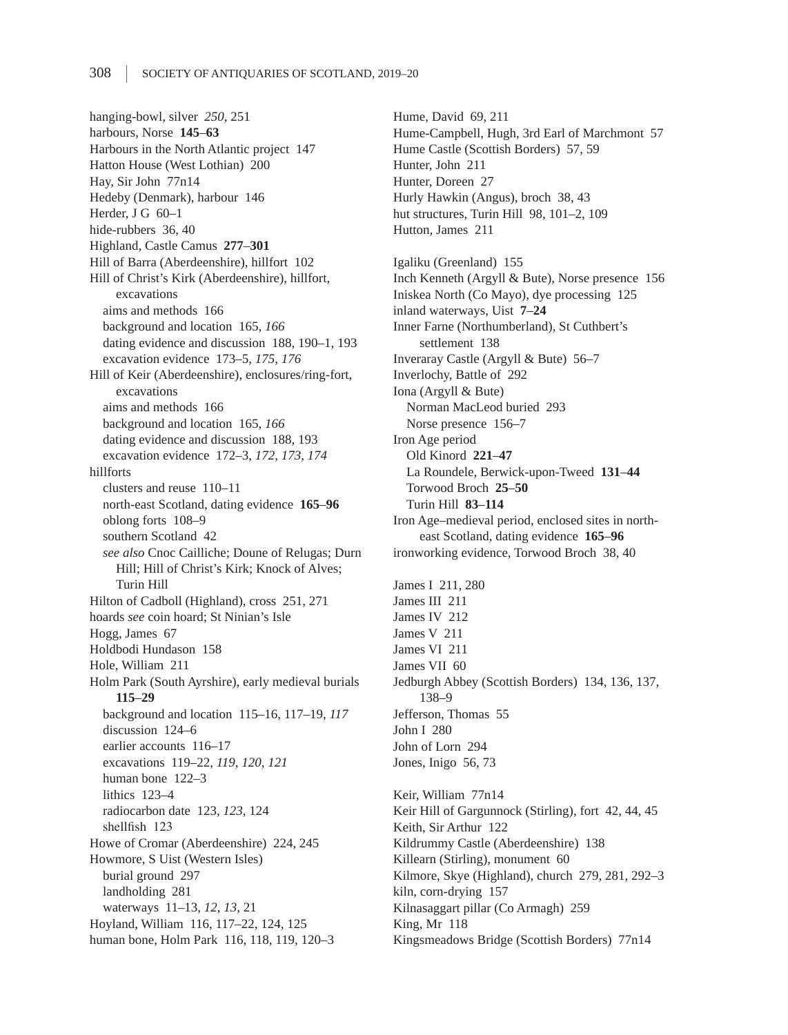hanging-bowl, silver *250*, 251 harbours, Norse **145**–**63** Harbours in the North Atlantic project 147 Hatton House (West Lothian) 200 Hay, Sir John 77n14 Hedeby (Denmark), harbour 146 Herder, J G 60–1 hide-rubbers 36, 40 Highland, Castle Camus **277**–**301** Hill of Barra (Aberdeenshire), hillfort 102 Hill of Christ's Kirk (Aberdeenshire), hillfort, excavations aims and methods 166 background and location 165, *166* dating evidence and discussion 188, 190–1, 193 excavation evidence 173–5, *175*, *176* Hill of Keir (Aberdeenshire), enclosures/ring-fort, excavations aims and methods 166 background and location 165, *166* dating evidence and discussion 188, 193 excavation evidence 172–3, *172*, *173*, *174* hillforts clusters and reuse 110–11 north-east Scotland, dating evidence **165**–**96** oblong forts 108–9 southern Scotland 42 *see also* Cnoc Cailliche; Doune of Relugas; Durn Hill; Hill of Christ's Kirk; Knock of Alves; Turin Hill Hilton of Cadboll (Highland), cross 251, 271 hoards *see* coin hoard; St Ninian's Isle Hogg, James 67 Holdbodi Hundason 158 Hole, William 211 Holm Park (South Ayrshire), early medieval burials **115**–**29** background and location 115–16, 117–19, *117* discussion 124–6 earlier accounts 116–17 excavations 119–22, *119*, *120*, *121* human bone 122–3 lithics 123–4 radiocarbon date 123, *123*, 124 shellfish 123 Howe of Cromar (Aberdeenshire) 224, 245 Howmore, S Uist (Western Isles) burial ground 297 landholding 281 waterways 11–13, *12*, *13*, 21 Hoyland, William 116, 117–22, 124, 125 human bone, Holm Park 116, 118, 119, 120–3

Hume, David 69, 211 Hume-Campbell, Hugh, 3rd Earl of Marchmont 57 Hume Castle (Scottish Borders) 57, 59 Hunter, John 211 Hunter, Doreen 27 Hurly Hawkin (Angus), broch 38, 43 hut structures, Turin Hill 98, 101-2, 109 Hutton, James 211

Igaliku (Greenland) 155 Inch Kenneth (Argyll & Bute), Norse presence 156 Iniskea North (Co Mayo), dye processing 125 inland waterways, Uist **7**–**24** Inner Farne (Northumberland), St Cuthbert's settlement 138 Inveraray Castle (Argyll & Bute) 56–7 Inverlochy, Battle of 292 Iona (Argyll & Bute) Norman MacLeod buried 293 Norse presence 156–7 Iron Age period Old Kinord **221**–**47** La Roundele, Berwick-upon-Tweed **131**–**44** Torwood Broch **25**–**50** Turin Hill **83**–**114** Iron Age–medieval period, enclosed sites in northeast Scotland, dating evidence **165**–**96** ironworking evidence, Torwood Broch 38, 40 James I 211, 280 James III 211 James IV 212 James V 211 James VI 211 James VII 60 Jedburgh Abbey (Scottish Borders) 134, 136, 137, 138–9 Jefferson, Thomas 55 John I 280 John of Lorn 294 Jones, Inigo 56, 73

Keir, William 77n14 Keir Hill of Gargunnock (Stirling), fort 42, 44, 45 Keith, Sir Arthur 122 Kildrummy Castle (Aberdeenshire) 138 Killearn (Stirling), monument 60 Kilmore, Skye (Highland), church 279, 281, 292–3 kiln, corn-drying 157 Kilnasaggart pillar (Co Armagh) 259 King, Mr 118 Kingsmeadows Bridge (Scottish Borders) 77n14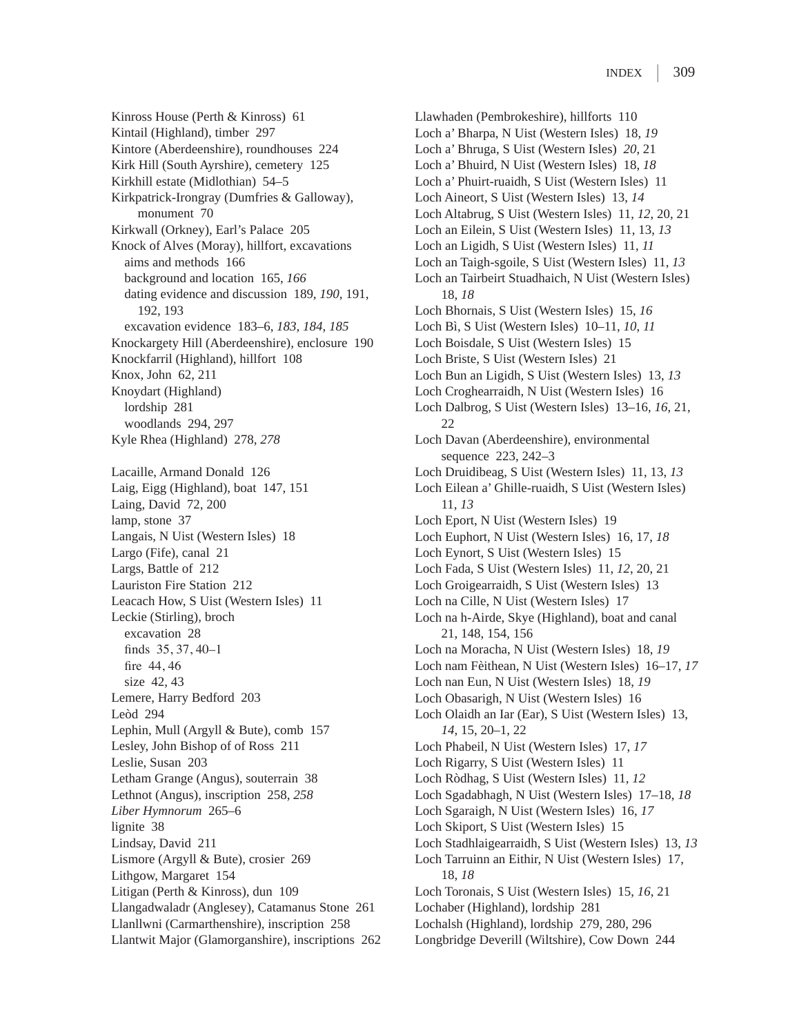Kinross House (Perth & Kinross) 61 Kintail (Highland), timber 297 Kintore (Aberdeenshire), roundhouses 224 Kirk Hill (South Ayrshire), cemetery 125 Kirkhill estate (Midlothian) 54–5 Kirkpatrick-Irongray (Dumfries & Galloway), monument 70 Kirkwall (Orkney), Earl's Palace 205 Knock of Alves (Moray), hillfort, excavations aims and methods 166 background and location 165, *166* dating evidence and discussion 189, *190*, 191, 192, 193 excavation evidence 183–6, *183*, *184*, *185* Knockargety Hill (Aberdeenshire), enclosure 190 Knockfarril (Highland), hillfort 108 Knox, John 62, 211 Knoydart (Highland) lordship 281 woodlands 294, 297 Kyle Rhea (Highland) 278, *278*

Lacaille, Armand Donald 126 Laig, Eigg (Highland), boat 147, 151 Laing, David 72, 200 lamp, stone 37 Langais, N Uist (Western Isles) 18 Largo (Fife), canal 21 Largs, Battle of 212 Lauriston Fire Station 212 Leacach How, S Uist (Western Isles) 11 Leckie (Stirling), broch excavation 28 finds 35, 37, 40–1 fire 44, 46 size 42, 43 Lemere, Harry Bedford 203 Leòd 294 Lephin, Mull (Argyll & Bute), comb 157 Lesley, John Bishop of of Ross 211 Leslie, Susan 203 Letham Grange (Angus), souterrain 38 Lethnot (Angus), inscription 258, *258 Liber Hymnorum* 265–6 lignite 38 Lindsay, David 211 Lismore (Argyll & Bute), crosier 269 Lithgow, Margaret 154 Litigan (Perth & Kinross), dun 109 Llangadwaladr (Anglesey), Catamanus Stone 261 Llanllwni (Carmarthenshire), inscription 258 Llantwit Major (Glamorganshire), inscriptions 262 Llawhaden (Pembrokeshire), hillforts 110 Loch a' Bharpa, N Uist (Western Isles) 18, *19* Loch a' Bhruga, S Uist (Western Isles) *20*, 21 Loch a' Bhuird, N Uist (Western Isles) 18, *18* Loch a' Phuirt-ruaidh, S Uist (Western Isles) 11 Loch Aineort, S Uist (Western Isles) 13, *14* Loch Altabrug, S Uist (Western Isles) 11, *12*, 20, 21 Loch an Eilein, S Uist (Western Isles) 11, 13, *13* Loch an Ligidh, S Uist (Western Isles) 11, *11* Loch an Taigh-sgoile, S Uist (Western Isles) 11, *13* Loch an Tairbeirt Stuadhaich, N Uist (Western Isles) 18, *18* Loch Bhornais, S Uist (Western Isles) 15, *16* Loch Bì, S Uist (Western Isles) 10–11, *10*, *11* Loch Boisdale, S Uist (Western Isles) 15 Loch Briste, S Uist (Western Isles) 21 Loch Bun an Ligidh, S Uist (Western Isles) 13, *13* Loch Croghearraidh, N Uist (Western Isles) 16 Loch Dalbrog, S Uist (Western Isles) 13–16, *16*, 21, 22 Loch Davan (Aberdeenshire), environmental sequence 223, 242–3 Loch Druidibeag, S Uist (Western Isles) 11, 13, *13* Loch Eilean a' Ghille-ruaidh, S Uist (Western Isles) 11, *13* Loch Eport, N Uist (Western Isles) 19 Loch Euphort, N Uist (Western Isles) 16, 17, *18* Loch Eynort, S Uist (Western Isles) 15 Loch Fada, S Uist (Western Isles) 11, *12*, 20, 21 Loch Groigearraidh, S Uist (Western Isles) 13 Loch na Cille, N Uist (Western Isles) 17 Loch na h-Airde, Skye (Highland), boat and canal 21, 148, 154, 156 Loch na Moracha, N Uist (Western Isles) 18, *19* Loch nam Fèithean, N Uist (Western Isles) 16–17, *17* Loch nan Eun, N Uist (Western Isles) 18, *19* Loch Obasarigh, N Uist (Western Isles) 16 Loch Olaidh an Iar (Ear), S Uist (Western Isles) 13, *14*, 15, 20–1, 22 Loch Phabeil, N Uist (Western Isles) 17, *17* Loch Rigarry, S Uist (Western Isles) 11 Loch Ròdhag, S Uist (Western Isles) 11, *12* Loch Sgadabhagh, N Uist (Western Isles) 17–18, *18* Loch Sgaraigh, N Uist (Western Isles) 16, *17* Loch Skiport, S Uist (Western Isles) 15 Loch Stadhlaigearraidh, S Uist (Western Isles) 13, *13* Loch Tarruinn an Eithir, N Uist (Western Isles) 17, 18, *18* Loch Toronais, S Uist (Western Isles) 15, *16*, 21 Lochaber (Highland), lordship 281 Lochalsh (Highland), lordship 279, 280, 296 Longbridge Deverill (Wiltshire), Cow Down 244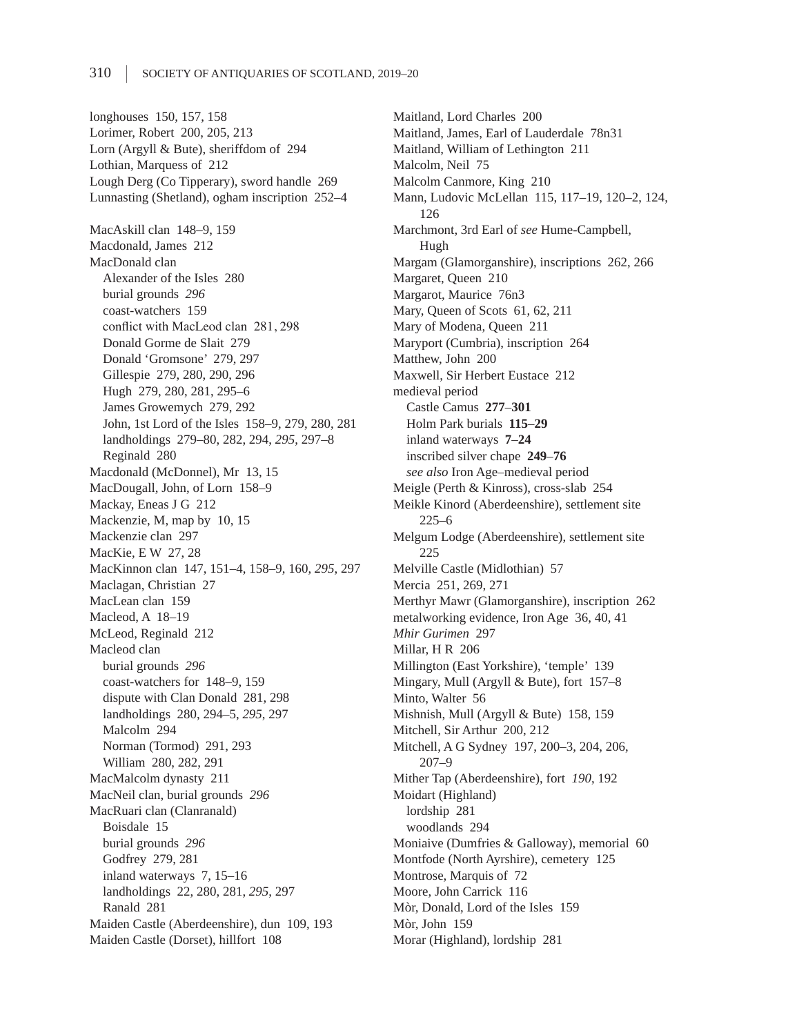longhouses 150, 157, 158 Lorimer, Robert 200, 205, 213 Lorn (Argyll & Bute), sheriffdom of 294 Lothian, Marquess of 212 Lough Derg (Co Tipperary), sword handle 269 Lunnasting (Shetland), ogham inscription 252–4 MacAskill clan 148–9, 159 Macdonald, James 212 MacDonald clan Alexander of the Isles 280 burial grounds *296* coast-watchers 159 conflict with MacLeod clan 281, 298 Donald Gorme de Slait 279 Donald 'Gromsone' 279, 297 Gillespie 279, 280, 290, 296 Hugh 279, 280, 281, 295–6 James Growemych 279, 292 John, 1st Lord of the Isles 158–9, 279, 280, 281 landholdings 279–80, 282, 294, *295*, 297–8 Reginald 280 Macdonald (McDonnel), Mr 13, 15 MacDougall, John, of Lorn 158–9 Mackay, Eneas J G 212 Mackenzie, M, map by 10, 15 Mackenzie clan 297 MacKie, E W 27, 28 MacKinnon clan 147, 151–4, 158–9, 160, *295*, 297 Maclagan, Christian 27 MacLean clan 159 Macleod, A 18–19 McLeod, Reginald 212 Macleod clan burial grounds *296* coast-watchers for 148–9, 159 dispute with Clan Donald 281, 298 landholdings 280, 294–5, *295*, 297 Malcolm 294 Norman (Tormod) 291, 293 William 280, 282, 291 MacMalcolm dynasty 211 MacNeil clan, burial grounds *296* MacRuari clan (Clanranald) Boisdale 15 burial grounds *296* Godfrey 279, 281 inland waterways 7, 15–16 landholdings 22, 280, 281, *295*, 297 Ranald 281 Maiden Castle (Aberdeenshire), dun 109, 193 Maiden Castle (Dorset), hillfort 108

Maitland, Lord Charles 200 Maitland, James, Earl of Lauderdale 78n31 Maitland, William of Lethington 211 Malcolm, Neil 75 Malcolm Canmore, King 210 Mann, Ludovic McLellan 115, 117–19, 120–2, 124, 126 Marchmont, 3rd Earl of *see* Hume-Campbell, Hugh Margam (Glamorganshire), inscriptions 262, 266 Margaret, Queen 210 Margarot, Maurice 76n3 Mary, Queen of Scots 61, 62, 211 Mary of Modena, Queen 211 Maryport (Cumbria), inscription 264 Matthew, John 200 Maxwell, Sir Herbert Eustace 212 medieval period Castle Camus **277**–**301** Holm Park burials **115**–**29** inland waterways **7**–**24** inscribed silver chape **249**–**76** *see also* Iron Age–medieval period Meigle (Perth & Kinross), cross-slab 254 Meikle Kinord (Aberdeenshire), settlement site 225–6 Melgum Lodge (Aberdeenshire), settlement site 225 Melville Castle (Midlothian) 57 Mercia 251, 269, 271 Merthyr Mawr (Glamorganshire), inscription 262 metalworking evidence, Iron Age 36, 40, 41 *Mhir Gurimen* 297 Millar, H R 206 Millington (East Yorkshire), 'temple' 139 Mingary, Mull (Argyll & Bute), fort 157–8 Minto, Walter 56 Mishnish, Mull (Argyll & Bute) 158, 159 Mitchell, Sir Arthur 200, 212 Mitchell, A G Sydney 197, 200–3, 204, 206, 207–9 Mither Tap (Aberdeenshire), fort *190*, 192 Moidart (Highland) lordship 281 woodlands 294 Moniaive (Dumfries & Galloway), memorial 60 Montfode (North Ayrshire), cemetery 125 Montrose, Marquis of 72 Moore, John Carrick 116 Mòr, Donald, Lord of the Isles 159 Mòr, John 159 Morar (Highland), lordship 281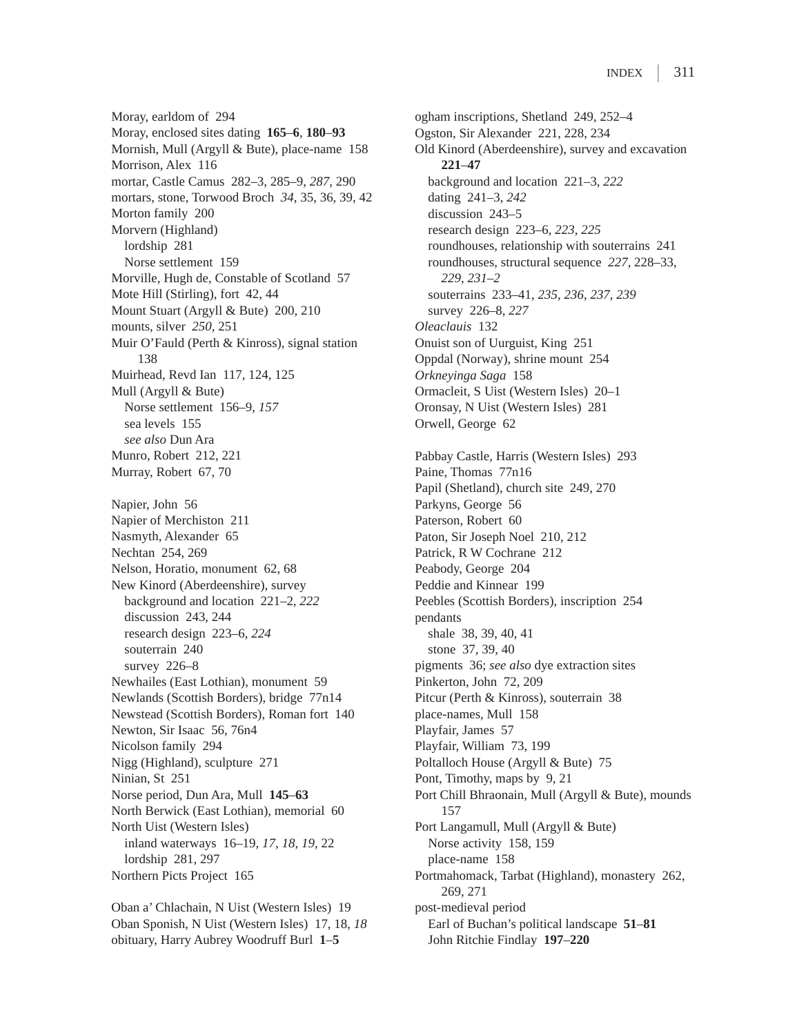Moray, earldom of 294 Moray, enclosed sites dating **165**–**6**, **180**–**93** Mornish, Mull (Argyll & Bute), place-name 158 Morrison, Alex 116 mortar, Castle Camus 282–3, 285–9, *287*, 290 mortars, stone, Torwood Broch *34*, 35, 36, 39, 42 Morton family 200 Morvern (Highland) lordship 281 Norse settlement 159 Morville, Hugh de, Constable of Scotland 57 Mote Hill (Stirling), fort 42, 44 Mount Stuart (Argyll & Bute) 200, 210 mounts, silver *250*, 251 Muir O'Fauld (Perth & Kinross), signal station 138 Muirhead, Revd Ian 117, 124, 125 Mull (Argyll & Bute) Norse settlement 156–9, *157* sea levels 155 *see also* Dun Ara Munro, Robert 212, 221 Murray, Robert 67, 70 Napier, John 56 Napier of Merchiston 211 Nasmyth, Alexander 65 Nechtan 254, 269 Nelson, Horatio, monument 62, 68 New Kinord (Aberdeenshire), survey background and location 221–2, *222* discussion 243, 244 research design 223–6, *224* souterrain 240 survey 226–8 Newhailes (East Lothian), monument 59 Newlands (Scottish Borders), bridge 77n14 Newstead (Scottish Borders), Roman fort 140 Newton, Sir Isaac 56, 76n4 Nicolson family 294 Nigg (Highland), sculpture 271 Ninian, St 251 Norse period, Dun Ara, Mull **145**–**63** North Berwick (East Lothian), memorial 60 North Uist (Western Isles) inland waterways 16–19, *17*, *18*, *19*, 22 lordship 281, 297 Northern Picts Project 165

Oban a' Chlachain, N Uist (Western Isles) 19 Oban Sponish, N Uist (Western Isles) 17, 18, *18* obituary, Harry Aubrey Woodruff Burl **1**–**5**

ogham inscriptions, Shetland 249, 252–4 Ogston, Sir Alexander 221, 228, 234 Old Kinord (Aberdeenshire), survey and excavation **221**–**47** background and location 221–3, *222* dating 241–3, *242* discussion 243–5 research design 223–6, *223*, *225* roundhouses, relationship with souterrains 241 roundhouses, structural sequence *227*, 228–33, *229*, *231–2* souterrains 233–41, *235*, *236*, *237*, *239* survey 226–8, *227 Oleaclauis* 132 Onuist son of Uurguist, King 251 Oppdal (Norway), shrine mount 254 *Orkneyinga Saga* 158 Ormacleit, S Uist (Western Isles) 20–1 Oronsay, N Uist (Western Isles) 281 Orwell, George 62 Pabbay Castle, Harris (Western Isles) 293 Paine, Thomas 77n16 Papil (Shetland), church site 249, 270 Parkyns, George 56 Paterson, Robert 60 Paton, Sir Joseph Noel 210, 212 Patrick, R W Cochrane 212 Peabody, George 204 Peddie and Kinnear 199 Peebles (Scottish Borders), inscription 254 pendants shale 38, 39, 40, 41 stone 37, 39, 40 pigments 36; *see also* dye extraction sites Pinkerton, John 72, 209 Pitcur (Perth & Kinross), souterrain 38 place-names, Mull 158 Playfair, James 57 Playfair, William 73, 199 Poltalloch House (Argyll & Bute) 75 Pont, Timothy, maps by 9, 21 Port Chill Bhraonain, Mull (Argyll & Bute), mounds 157 Port Langamull, Mull (Argyll & Bute) Norse activity 158, 159 place-name 158 Portmahomack, Tarbat (Highland), monastery 262, 269, 271 post-medieval period Earl of Buchan's political landscape **51**–**81** John Ritchie Findlay **197**–**220**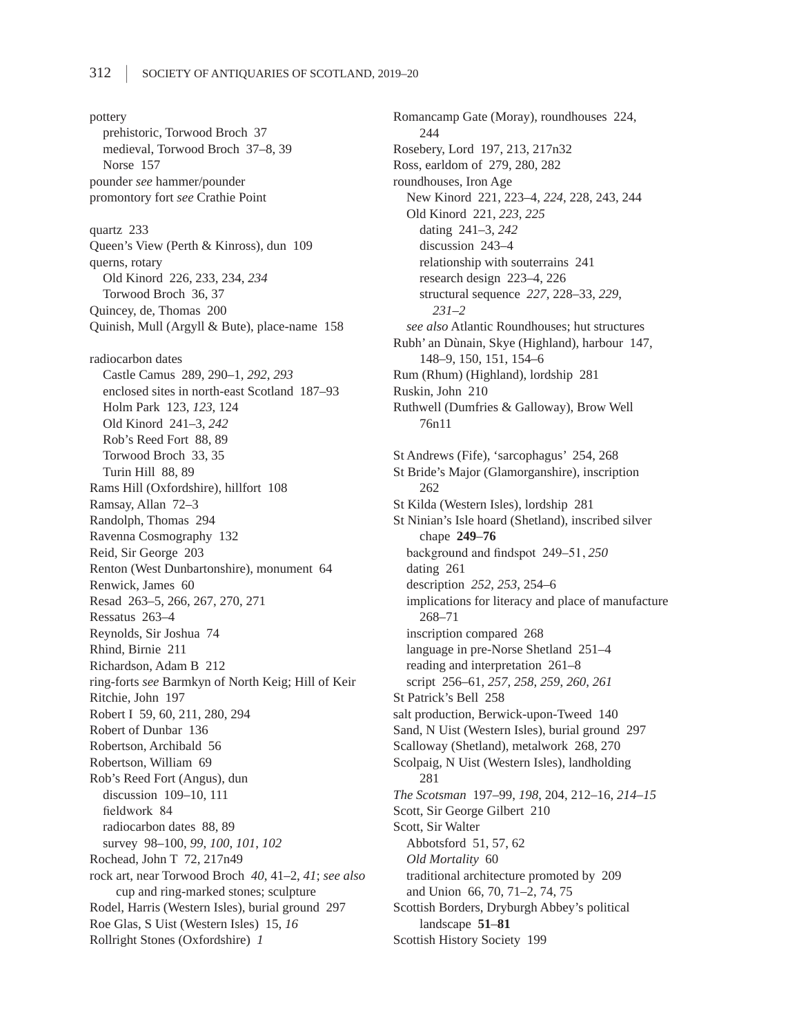pottery prehistoric, Torwood Broch 37 medieval, Torwood Broch 37–8, 39 Norse 157 pounder *see* hammer/pounder promontory fort *see* Crathie Point quartz 233 Queen's View (Perth & Kinross), dun 109 querns, rotary Old Kinord 226, 233, 234, *234* Torwood Broch 36, 37 Quincey, de, Thomas 200 Quinish, Mull (Argyll & Bute), place-name 158 radiocarbon dates Castle Camus 289, 290–1, *292*, *293* enclosed sites in north-east Scotland 187–93 Holm Park 123, *123*, 124 Old Kinord 241–3, *242* Rob's Reed Fort 88, 89 Torwood Broch 33, 35 Turin Hill 88, 89 Rams Hill (Oxfordshire), hillfort 108 Ramsay, Allan 72–3 Randolph, Thomas 294 Ravenna Cosmography 132 Reid, Sir George 203 Renton (West Dunbartonshire), monument 64 Renwick, James 60 Resad 263–5, 266, 267, 270, 271 Ressatus 263–4 Reynolds, Sir Joshua 74 Rhind, Birnie 211 Richardson, Adam B 212 ring-forts *see* Barmkyn of North Keig; Hill of Keir Ritchie, John 197 Robert I 59, 60, 211, 280, 294 Robert of Dunbar 136 Robertson, Archibald 56 Robertson, William 69 Rob's Reed Fort (Angus), dun discussion 109–10, 111 fieldwork 84 radiocarbon dates 88, 89 survey 98–100, *99*, *100*, *101*, *102* Rochead, John T 72, 217n49 rock art, near Torwood Broch *40*, 41–2, *41*; *see also* cup and ring-marked stones; sculpture Rodel, Harris (Western Isles), burial ground 297 Roe Glas, S Uist (Western Isles) 15, *16* Rollright Stones (Oxfordshire) *1*

Romancamp Gate (Moray), roundhouses 224, 244 Rosebery, Lord 197, 213, 217n32 Ross, earldom of 279, 280, 282 roundhouses, Iron Age New Kinord 221, 223–4, *224*, 228, 243, 244 Old Kinord 221, *223*, *225* dating 241–3, *242* discussion 243–4 relationship with souterrains 241 research design 223–4, 226 structural sequence *227*, 228–33, *229*, *231–2 see also* Atlantic Roundhouses; hut structures Rubh' an Dùnain, Skye (Highland), harbour 147, 148–9, 150, 151, 154–6 Rum (Rhum) (Highland), lordship 281 Ruskin, John 210 Ruthwell (Dumfries & Galloway), Brow Well 76n11 St Andrews (Fife), 'sarcophagus' 254, 268 St Bride's Major (Glamorganshire), inscription 262 St Kilda (Western Isles), lordship 281 St Ninian's Isle hoard (Shetland), inscribed silver chape **249**–**76** background and findspot 249–51, *250* dating 261 description *252*, *253*, 254–6 implications for literacy and place of manufacture 268–71 inscription compared 268 language in pre-Norse Shetland 251–4 reading and interpretation 261–8 script 256–61, *257*, *258*, *259*, *260*, *261* St Patrick's Bell 258 salt production, Berwick-upon-Tweed 140 Sand, N Uist (Western Isles), burial ground 297 Scalloway (Shetland), metalwork 268, 270 Scolpaig, N Uist (Western Isles), landholding 281 *The Scotsman* 197–99, *198*, 204, 212–16, *214–15* Scott, Sir George Gilbert 210 Scott, Sir Walter Abbotsford 51, 57, 62 *Old Mortality* 60 traditional architecture promoted by 209 and Union 66, 70, 71–2, 74, 75 Scottish Borders, Dryburgh Abbey's political landscape **51**–**81** Scottish History Society 199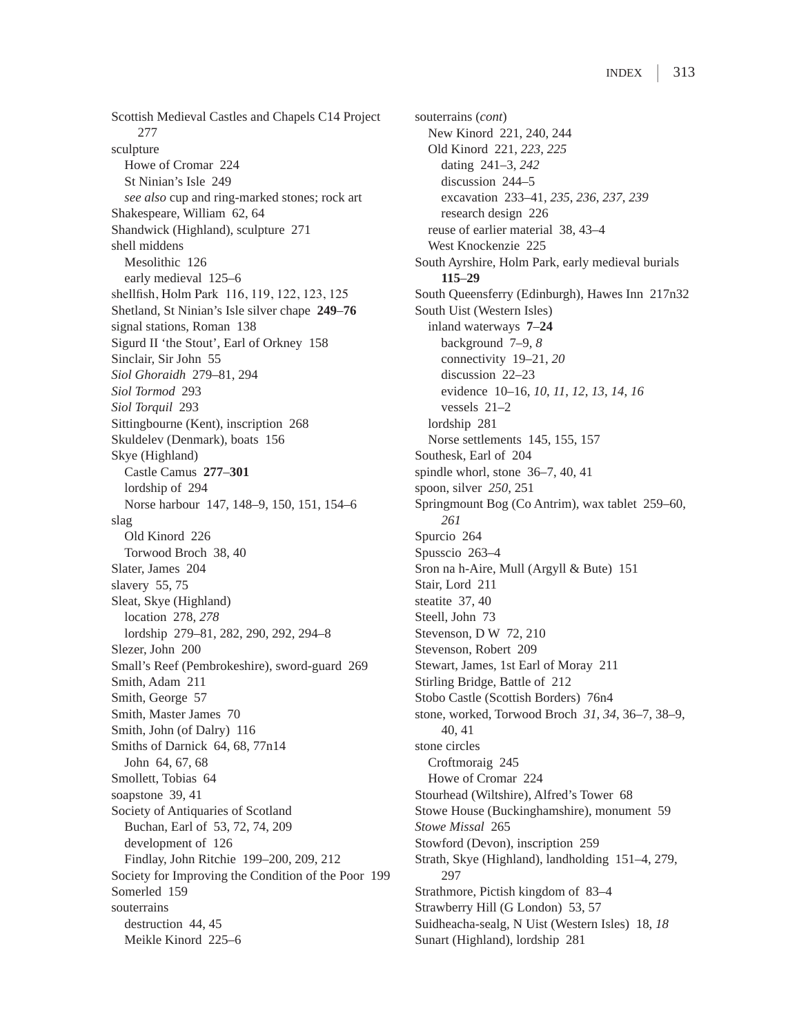Scottish Medieval Castles and Chapels C14 Project 277 sculpture Howe of Cromar 224 St Ninian's Isle 249 *see also* cup and ring-marked stones; rock art Shakespeare, William 62, 64 Shandwick (Highland), sculpture 271 shell middens Mesolithic 126 early medieval 125–6 shellfish, Holm Park 116, 119, 122, 123, 125 Shetland, St Ninian's Isle silver chape **249**–**76** signal stations, Roman 138 Sigurd II 'the Stout', Earl of Orkney 158 Sinclair, Sir John 55 *Siol Ghoraidh* 279–81, 294 *Siol Tormod* 293 *Siol Torquil* 293 Sittingbourne (Kent), inscription 268 Skuldelev (Denmark), boats 156 Skye (Highland) Castle Camus **277**–**301** lordship of 294 Norse harbour 147, 148–9, 150, 151, 154–6 slag Old Kinord 226 Torwood Broch 38, 40 Slater, James 204 slavery 55, 75 Sleat, Skye (Highland) location 278, *278* lordship 279–81, 282, 290, 292, 294–8 Slezer, John 200 Small's Reef (Pembrokeshire), sword-guard 269 Smith, Adam 211 Smith, George 57 Smith, Master James 70 Smith, John (of Dalry) 116 Smiths of Darnick 64, 68, 77n14 John 64, 67, 68 Smollett, Tobias 64 soapstone 39, 41 Society of Antiquaries of Scotland Buchan, Earl of 53, 72, 74, 209 development of 126 Findlay, John Ritchie 199–200, 209, 212 Society for Improving the Condition of the Poor 199 Somerled 159 souterrains destruction 44, 45 Meikle Kinord 225–6

souterrains (*cont*) New Kinord 221, 240, 244 Old Kinord 221, *223*, *225* dating 241–3, *242* discussion 244–5 excavation 233–41, *235*, *236*, *237*, *239* research design 226 reuse of earlier material 38, 43–4 West Knockenzie 225 South Ayrshire, Holm Park, early medieval burials **115**–**29** South Queensferry (Edinburgh), Hawes Inn 217n32 South Uist (Western Isles) inland waterways **7**–**24** background 7–9, *8* connectivity 19–21, *20* discussion 22–23 evidence 10–16, *10*, *11*, *12*, *13*, *14*, *16* vessels 21–2 lordship 281 Norse settlements 145, 155, 157 Southesk, Earl of 204 spindle whorl, stone 36–7, 40, 41 spoon, silver *250*, 251 Springmount Bog (Co Antrim), wax tablet 259–60, *261* Spurcio 264 Spusscio 263–4 Sron na h-Aire, Mull (Argyll & Bute) 151 Stair, Lord 211 steatite 37, 40 Steell, John 73 Stevenson, D W 72, 210 Stevenson, Robert 209 Stewart, James, 1st Earl of Moray 211 Stirling Bridge, Battle of 212 Stobo Castle (Scottish Borders) 76n4 stone, worked, Torwood Broch *31*, *34*, 36–7, 38–9, 40, 41 stone circles Croftmoraig 245 Howe of Cromar 224 Stourhead (Wiltshire), Alfred's Tower 68 Stowe House (Buckinghamshire), monument 59 *Stowe Missal* 265 Stowford (Devon), inscription 259 Strath, Skye (Highland), landholding 151–4, 279, 297 Strathmore, Pictish kingdom of 83–4 Strawberry Hill (G London) 53, 57 Suidheacha-sealg, N Uist (Western Isles) 18, *18* Sunart (Highland), lordship 281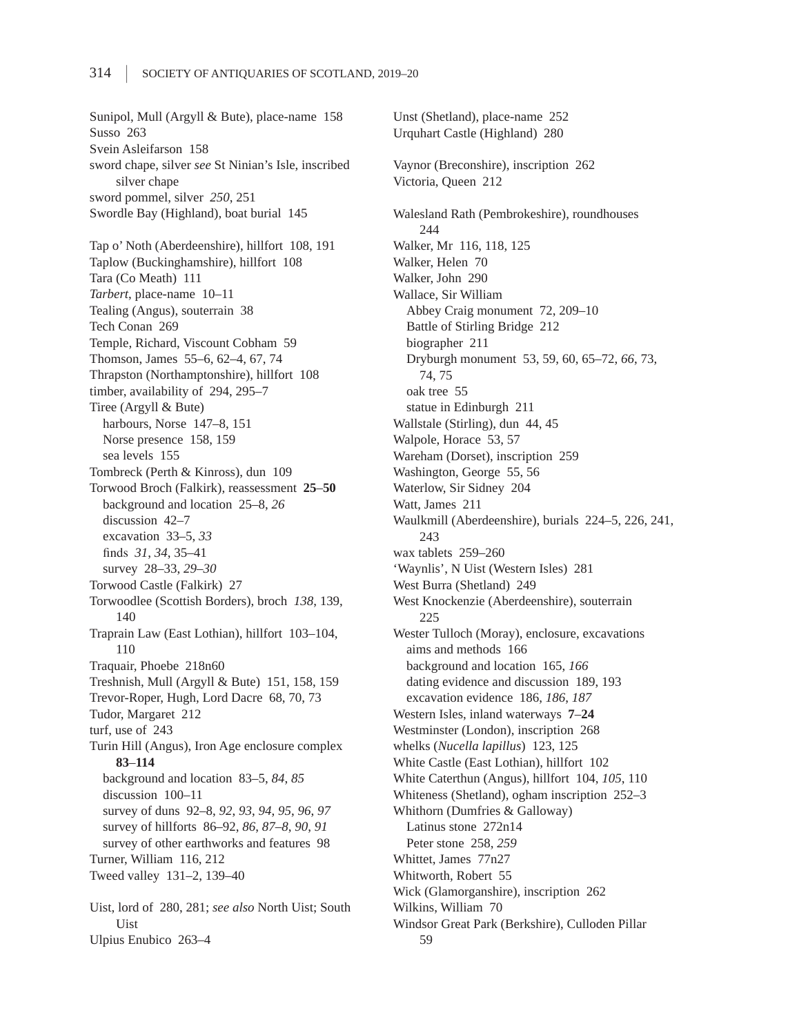Sunipol, Mull (Argyll & Bute), place-name 158 Susso 263 Svein Asleifarson 158 sword chape, silver *see* St Ninian's Isle, inscribed silver chape sword pommel, silver *250*, 251 Swordle Bay (Highland), boat burial 145 Tap o' Noth (Aberdeenshire), hillfort 108, 191 Taplow (Buckinghamshire), hillfort 108 Tara (Co Meath) 111 *Tarbert*, place-name 10–11 Tealing (Angus), souterrain 38 Tech Conan 269 Temple, Richard, Viscount Cobham 59 Thomson, James 55–6, 62–4, 67, 74 Thrapston (Northamptonshire), hillfort 108 timber, availability of 294, 295–7 Tiree (Argyll & Bute) harbours, Norse 147–8, 151 Norse presence 158, 159 sea levels 155 Tombreck (Perth & Kinross), dun 109 Torwood Broch (Falkirk), reassessment **25**–**50** background and location 25–8, *26* discussion 42–7 excavation 33–5, *33* finds *31*, *34*, 35–41 survey 28–33, *29–30* Torwood Castle (Falkirk) 27 Torwoodlee (Scottish Borders), broch *138*, 139, 140 Traprain Law (East Lothian), hillfort 103–104, 110 Traquair, Phoebe 218n60 Treshnish, Mull (Argyll & Bute) 151, 158, 159 Trevor-Roper, Hugh, Lord Dacre 68, 70, 73 Tudor, Margaret 212 turf, use of 243 Turin Hill (Angus), Iron Age enclosure complex **83**–**114** background and location 83–5, *84*, *85* discussion 100–11 survey of duns 92–8, *92*, *93*, *94*, *95*, *96*, *97* survey of hillforts 86–92, *86*, *87–8*, *90*, *91* survey of other earthworks and features 98 Turner, William 116, 212 Tweed valley 131–2, 139–40 Uist, lord of 280, 281; *see also* North Uist; South Uist Ulpius Enubico 263–4

Unst (Shetland), place-name 252 Urquhart Castle (Highland) 280 Vaynor (Breconshire), inscription 262 Victoria, Queen 212 Walesland Rath (Pembrokeshire), roundhouses 244 Walker, Mr 116, 118, 125 Walker, Helen 70 Walker, John 290 Wallace, Sir William Abbey Craig monument 72, 209–10 Battle of Stirling Bridge 212 biographer 211 Dryburgh monument 53, 59, 60, 65–72, *66*, 73, 74, 75 oak tree 55 statue in Edinburgh 211 Wallstale (Stirling), dun 44, 45 Walpole, Horace 53, 57 Wareham (Dorset), inscription 259 Washington, George 55, 56 Waterlow, Sir Sidney 204 Watt, James 211 Waulkmill (Aberdeenshire), burials 224–5, 226, 241, 243 wax tablets 259–260 'Waynlis', N Uist (Western Isles) 281 West Burra (Shetland) 249 West Knockenzie (Aberdeenshire), souterrain 225 Wester Tulloch (Moray), enclosure, excavations aims and methods 166 background and location 165, *166* dating evidence and discussion 189, 193 excavation evidence 186, *186*, *187* Western Isles, inland waterways **7**–**24** Westminster (London), inscription 268 whelks (*Nucella lapillus*) 123, 125 White Castle (East Lothian), hillfort 102 White Caterthun (Angus), hillfort 104, *105*, 110 Whiteness (Shetland), ogham inscription 252–3 Whithorn (Dumfries & Galloway) Latinus stone 272n14 Peter stone 258, *259* Whittet, James 77n27 Whitworth, Robert 55 Wick (Glamorganshire), inscription 262 Wilkins, William 70 Windsor Great Park (Berkshire), Culloden Pillar 59